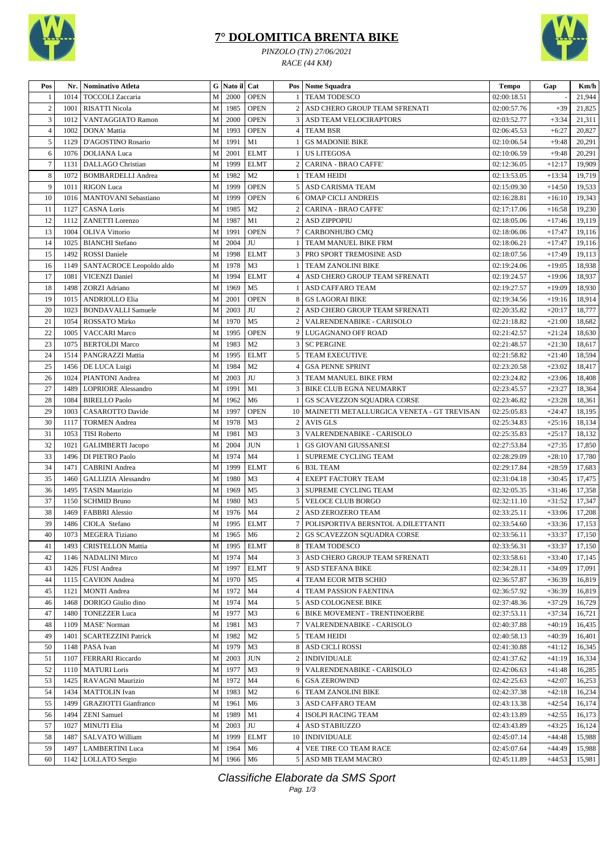

## **7° DOLOMITICA BRENTA BIKE**

*PINZOLO (TN) 27/06/2021 RACE (44 KM)*



| Pos            | Nr.  | Nominativo Atleta           |              | G Nato il Cat |                |                | Pos   Nome Squadra                              | <b>Tempo</b> | Gap      | Km/h   |
|----------------|------|-----------------------------|--------------|---------------|----------------|----------------|-------------------------------------------------|--------------|----------|--------|
|                | 1014 | TOCCOLI Zaccaria            | M            | 2000          | <b>OPEN</b>    |                | <b>TEAM TODESCO</b>                             | 02:00:18.51  |          | 21,944 |
| $\mathfrak{2}$ | 1001 | <b>RISATTI Nicola</b>       | M            | 1985          | <b>OPEN</b>    | $\overline{2}$ | ASD CHERO GROUP TEAM SFRENATI                   | 02:00:57.76  | $+39$    | 21,825 |
| 3              | 1012 | VANTAGGIATO Ramon           | M            | 2000          | <b>OPEN</b>    |                | <b>3 ASD TEAM VELOCIRAPTORS</b>                 | 02:03:52.77  | $+3:34$  | 21,311 |
| $\overline{4}$ | 1002 | DONA' Mattia                | M            | 1993          | <b>OPEN</b>    |                | 4 TEAM BSR                                      | 02:06:45.53  | $+6:27$  | 20,827 |
| 5              | 1129 | D'AGOSTINO Rosario          | M            | 1991          | M1             |                | <b>GS MADONIE BIKE</b>                          | 02:10:06.54  | $+9:48$  | 20,291 |
| 6              | 1076 | <b>DOLIANA</b> Luca         | M            | 2001          | <b>ELMT</b>    |                | <b>US LITEGOSA</b>                              | 02:10:06.59  | $+9:48$  | 20,291 |
| $\overline{7}$ | 1131 | DALLAGO Christian           | M            | 1999          | <b>ELMT</b>    |                | <b>CARINA - BRAO CAFFE</b>                      | 02:12:36.05  | $+12:17$ | 19,909 |
| $\,$ 8 $\,$    | 1072 | <b>BOMBARDELLI Andrea</b>   | $\mathbf{M}$ | 1982          | M <sub>2</sub> |                | <b>TEAM HEIDI</b>                               | 02:13:53.05  | $+13:34$ | 19,719 |
| 9              | 1011 | <b>RIGON</b> Luca           | $\mathbf M$  | 1999          | <b>OPEN</b>    | 5 <sup>1</sup> | ASD CARISMA TEAM                                | 02:15:09.30  | $+14:50$ | 19,533 |
| 10             | 1016 | MANTOVANI Sebastiano        | M            | 1999          | <b>OPEN</b>    | 6              | <b>OMAP CICLI ANDREIS</b>                       | 02:16:28.81  | $+16:10$ | 19,343 |
| 11             | 1127 | <b>CASNA Loris</b>          | $\mathbf M$  | 1985          | M <sub>2</sub> | $\overline{2}$ | <b>CARINA - BRAO CAFFE</b>                      | 02:17:17.06  | $+16:58$ | 19,230 |
| 12             | 1112 | <b>ZANETTI</b> Lorenzo      | M            | 1987          | M1             | 2              | <b>ASD ZIPPOPIU</b>                             | 02:18:05.06  | $+17:46$ | 19,119 |
| 13             | 1004 | <b>OLIVA Vittorio</b>       | M            | 1991          | <b>OPEN</b>    |                | CARBONHUBO CMQ                                  | 02:18:06.06  | $+17:47$ | 19,116 |
| 14             | 1025 | <b>BIANCHI</b> Stefano      | $\mathbf M$  | 2004          | JU             |                | TEAM MANUEL BIKE FRM                            | 02:18:06.21  | $+17:47$ | 19,116 |
| 15             | 1492 | <b>ROSSI</b> Daniele        | M            | 1998          | <b>ELMT</b>    | 3              | PRO SPORT TREMOSINE ASD                         | 02:18:07.56  | $+17:49$ | 19,113 |
| 16             | 1149 | SANTACROCE Leopoldo aldo    | M            | 1978          | M <sub>3</sub> | -1             | <b>TEAM ZANOLINI BIKE</b>                       | 02:19:24.06  | $+19:05$ | 18,938 |
| 17             | 1081 | <b>VICENZI Daniel</b>       | $\mathbf{M}$ | 1994          | <b>ELMT</b>    |                | 4 ASD CHERO GROUP TEAM SFRENATI                 | 02:19:24.57  | $+19:06$ | 18,937 |
| 18             | 1498 | <b>ZORZI</b> Adriano        | M            | 1969          | M <sub>5</sub> |                | ASD CAFFARO TEAM                                | 02:19:27.57  | $+19:09$ | 18,930 |
| 19             | 1015 | <b>ANDRIOLLO Elia</b>       | M            | 2001          | <b>OPEN</b>    | 8              | <b>GS LAGORAI BIKE</b>                          | 02:19:34.56  | $+19:16$ | 18,914 |
| 20             | 1023 | <b>BONDAVALLI Samuele</b>   | $\mathbf{M}$ | 2003          | $\rm JU$       | 2              | ASD CHERO GROUP TEAM SFRENATI                   | 02:20:35.82  | $+20:17$ | 18,777 |
| 21             | 1054 | ROSSATO Mirko               | M            | 1970          | M <sub>5</sub> | $\overline{2}$ | VALRENDENABIKE - CARISOLO                       | 02:21:18.82  | $+21:00$ | 18,682 |
| 22             | 1005 | <b>VACCARI Marco</b>        | M            | 1995          | <b>OPEN</b>    |                | 9 LUGAGNANO OFF ROAD                            | 02:21:42.57  | $+21:24$ | 18,630 |
| 23             | 1075 |                             | $\mathbf{M}$ | 1983          | M <sub>2</sub> |                | 3   SC PERGINE                                  | 02:21:48.57  | $+21:30$ | 18,617 |
| 24             |      | <b>BERTOLDI Marco</b>       | $\mathbf{M}$ |               |                |                | <b>5 TEAM EXECUTIVE</b>                         |              |          |        |
|                | 1514 | PANGRAZZI Mattia            |              | 1995          | <b>ELMT</b>    |                |                                                 | 02:21:58.82  | $+21:40$ | 18,594 |
| 25             | 1456 | DE LUCA Luigi               | M            | 1984          | M <sub>2</sub> | 4              | <b>GSA PENNE SPRINT</b>                         | 02:23:20.58  | $+23:02$ | 18,417 |
| 26             | 1024 | PIANTONI Andrea             | M            | 2003          | JU             | 3              | TEAM MANUEL BIKE FRM                            | 02:23:24.82  | $+23:06$ | 18,408 |
| 27             | 1489 | <b>LOPRIORE</b> Alessandro  | $\mathbf M$  | 1991          | M1             | 3              | <b>BIKE CLUB EGNA NEUMARKT</b>                  | 02:23:45.57  | $+23:27$ | 18,364 |
| 28             | 1084 | <b>BIRELLO Paolo</b>        | M            | 1962          | M <sub>6</sub> | -1             | GS SCAVEZZON SQUADRA CORSE                      | 02:23:46.82  | $+23:28$ | 18,361 |
| 29             | 1003 | CASAROTTO Davide            | M            | 1997          | <b>OPEN</b>    |                | 10   MAINETTI METALLURGICA VENETA - GT TREVISAN | 02:25:05.83  | $+24:47$ | 18,195 |
| 30             | 1117 | <b>TORMEN</b> Andrea        | M            | 1978          | M <sub>3</sub> |                | 2 AVIS GLS                                      | 02:25:34.83  | $+25:16$ | 18,134 |
| 31             | 1053 | <b>TISI Roberto</b>         | M            | 1981          | M <sub>3</sub> |                | 3   VALRENDENABIKE - CARISOLO                   | 02:25:35.83  | $+25:17$ | 18,132 |
| 32             | 1021 | <b>GALIMBERTI Jacopo</b>    | M            | 2004          | <b>JUN</b>     |                | GS GIOVANI GIUSSANESI                           | 02:27:53.84  | $+27:35$ | 17,850 |
| 33             | 1496 | DI PIETRO Paolo             | M            | 1974          | M <sub>4</sub> |                | SUPREME CYCLING TEAM                            | 02:28:29.09  | $+28:10$ | 17,780 |
| 34             | 1471 | <b>CABRINI</b> Andrea       | M            | 1999          | <b>ELMT</b>    |                | 6 B3L TEAM                                      | 02:29:17.84  | $+28:59$ | 17,683 |
| 35             | 1460 | <b>GALLIZIA Alessandro</b>  | M            | 1980          | M <sub>3</sub> |                | 4 EXEPT FACTORY TEAM                            | 02:31:04.18  | $+30:45$ | 17,475 |
| 36             | 1495 | <b>TASIN Maurizio</b>       | M            | 1969          | M <sub>5</sub> |                | <b>3 SUPREME CYCLING TEAM</b>                   | 02:32:05.35  | $+31:46$ | 17,358 |
| 37             | 1150 | <b>SCHMID Bruno</b>         | M            | 1980          | M <sub>3</sub> | 5              | <b>VELOCE CLUB BORGO</b>                        | 02:32:11.10  | $+31:52$ | 17,347 |
| 38             | 1469 | <b>FABBRI</b> Alessio       | M            | 1976          | M <sub>4</sub> |                | <b>ASD ZEROZERO TEAM</b>                        | 02:33:25.11  | $+33:06$ | 17,208 |
| 39             | 1486 | CIOLA Stefano               | $\mathbf{M}$ | 1995          | <b>ELMT</b>    |                | POLISPORTIVA BERSNTOL A.DILETTANTI              | 02:33:54.60  | $+33:36$ | 17,153 |
| 40             |      | 1073 MEGERA Tiziano         |              | M 1965 M6     |                |                | 2 GS SCAVEZZON SQUADRA CORSE                    | 02:33:56.11  | $+33:37$ | 17,150 |
| 41             | 1493 | <b>CRISTELLON Mattia</b>    | $\mathbf M$  | 1995          | <b>ELMT</b>    |                | 8 TEAM TODESCO                                  | 02:33:56.31  | $+33:37$ | 17,150 |
| 42             | 1146 | NADALINI Mirco              | M            | 1974          | M4             |                | 3 ASD CHERO GROUP TEAM SFRENATI                 | 02:33:58.61  | $+33:40$ | 17,145 |
| 43             | 1426 | FUSI Andrea                 | $\mathbf M$  | 1997          | <b>ELMT</b>    |                | 9 ASD STEFANA BIKE                              | 02:34:28.11  | $+34:09$ | 17,091 |
| 44             | 1115 | <b>CAVION</b> Andrea        | $\mathbf{M}$ | 1970          | M <sub>5</sub> | 4              | TEAM ECOR MTB SCHIO                             | 02:36:57.87  | $+36:39$ | 16,819 |
| 45             | 1121 | <b>MONTI</b> Andrea         | M            | 1972          | M4             |                | TEAM PASSION FAENTINA                           | 02:36:57.92  | $+36:39$ | 16,819 |
| 46             | 1468 | DORIGO Giulio dino          | $\mathbf M$  | 1974          | M4             |                | 5 ASD COLOGNESE BIKE                            | 02:37:48.36  | $+37:29$ | 16,729 |
| 47             | 1480 | <b>TONEZZER Luca</b>        | M            | 1977          | M <sub>3</sub> |                | 6 BIKE MOVEMENT - TRENTINOERBE                  | 02:37:53.11  | $+37:34$ | 16,721 |
| 48             | 1109 | <b>MASE' Norman</b>         | M            | 1981          | M <sub>3</sub> |                | 7   VALRENDENABIKE - CARISOLO                   | 02:40:37.88  | $+40:19$ | 16,435 |
| 49             | 1401 | <b>SCARTEZZINI Patrick</b>  | $\mathbf M$  | 1982          | M <sub>2</sub> |                | 5 TEAM HEIDI                                    | 02:40:58.13  | $+40:39$ | 16,401 |
| 50             | 1148 | PASA Ivan                   | M            | 1979          | M <sub>3</sub> |                | 8   ASD CICLI ROSSI                             | 02:41:30.88  | $+41:12$ | 16,345 |
| 51             | 1107 | FERRARI Riccardo            | M            | 2003          | <b>JUN</b>     | 2              | <b>INDIVIDUALE</b>                              | 02:41:37.62  | $+41:19$ | 16,334 |
| 52             | 1110 | <b>MATURI</b> Loris         | $\mathbf M$  | 1977          | M <sub>3</sub> | 9              | VALRENDENABIKE - CARISOLO                       | 02:42:06.63  | $+41:48$ | 16,285 |
| 53             | 1425 | RAVAGNI Maurizio            | $\mathbf M$  | 1972          | M4             |                | 6 GSA ZEROWIND                                  | 02:42:25.63  | $+42:07$ | 16,253 |
| 54             | 1434 | <b>MATTOLIN</b> Ivan        | $\mathbf M$  | 1983          | M <sub>2</sub> |                | 6 TEAM ZANOLINI BIKE                            | 02:42:37.38  | $+42:18$ | 16,234 |
| 55             | 1499 | <b>GRAZIOTTI Gianfranco</b> | M            | 1961          | M <sub>6</sub> |                | 3 ASD CAFFARO TEAM                              | 02:43:13.38  | $+42:54$ | 16,174 |
| 56             | 1494 | <b>ZENI</b> Samuel          | $\mathbf M$  | 1989          | M1             | 4              | <b>ISOLPI RACING TEAM</b>                       | 02:43:13.89  | $+42:55$ | 16,173 |
| 57             | 1027 | MINUTI Elia                 | $\mathbf M$  | 2003          | JU             |                | <b>ASD STABIUZZO</b>                            | 02:43:43.89  | $+43:25$ | 16,124 |
| 58             | 1487 | SALVATO William             | M            | 1999          | <b>ELMT</b>    | 10             | <b>INDIVIDUALE</b>                              | 02:45:07.14  | $+44:48$ | 15,988 |
| 59             | 1497 | <b>LAMBERTINI</b> Luca      | $\mathbf M$  | 1964          | M <sub>6</sub> |                | 4   VEE TIRE CO TEAM RACE                       | 02:45:07.64  | $+44:49$ | 15,988 |
| 60             | 1142 | LOLLATO Sergio              | M            | 1966          | M <sub>6</sub> |                | 5 ASD MB TEAM MACRO                             | 02:45:11.89  | $+44:53$ | 15,981 |

Classifiche Elaborate da SMS Sport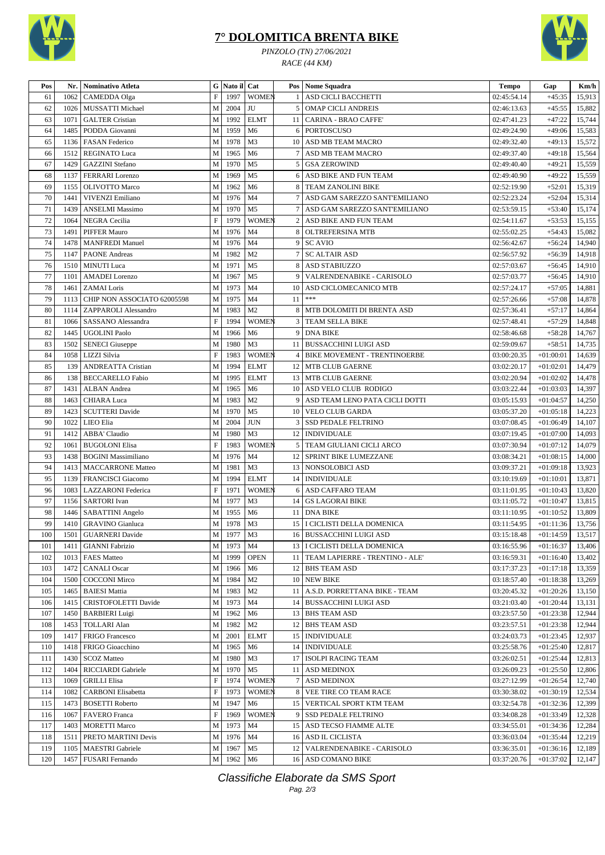

## **7° DOLOMITICA BRENTA BIKE**

*PINZOLO (TN) 27/06/2021 RACE (44 KM)*



| Pos | Nr.  | Nominativo Atleta           | G                         | Nato il Cat |                |                | Pos   Nome Squadra                   | <b>Tempo</b> | Gap         | Km/h   |
|-----|------|-----------------------------|---------------------------|-------------|----------------|----------------|--------------------------------------|--------------|-------------|--------|
| 61  | 1062 | CAMEDDA Olga                | $\boldsymbol{\mathrm{F}}$ | 1997        | <b>WOMEN</b>   |                | ASD CICLI BACCHETTI                  | 02:45:54.14  | $+45:35$    | 15,913 |
| 62  | 1026 | MUSSATTI Michael            | M                         | 2004        | JU             | 5              | <b>OMAP CICLI ANDREIS</b>            | 02:46:13.63  | $+45:55$    | 15,882 |
| 63  | 1071 | <b>GALTER Cristian</b>      | M                         | 1992        | <b>ELMT</b>    | 11             | <b>CARINA - BRAO CAFFE'</b>          | 02:47:41.23  | $+47:22$    | 15,744 |
| 64  | 1485 | PODDA Giovanni              | $\mathbf M$               | 1959        | M <sub>6</sub> | 6              | <b>PORTOSCUSO</b>                    | 02:49:24.90  | $+49:06$    | 15,583 |
| 65  | 1136 | <b>FASAN Federico</b>       | M                         | 1978        | M <sub>3</sub> | 10             | ASD MB TEAM MACRO                    | 02:49:32.40  | $+49:13$    | 15,572 |
| 66  | 1512 | <b>REGINATO Luca</b>        | M                         | 1965        | M <sub>6</sub> |                | ASD MB TEAM MACRO                    | 02:49:37.40  | $+49:18$    | 15,564 |
| 67  | 1429 | <b>GAZZINI</b> Stefano      | M                         | 1970        | M <sub>5</sub> | 5              | <b>GSA ZEROWIND</b>                  | 02:49:40.40  | $+49:21$    | 15,559 |
| 68  | 1137 | <b>FERRARI</b> Lorenzo      | M                         | 1969        | M <sub>5</sub> | 6              | ASD BIKE AND FUN TEAM                | 02:49:40.90  | $+49:22$    | 15,559 |
| 69  | 1155 | <b>OLIVOTTO Marco</b>       | M                         | 1962        | M <sub>6</sub> | 8              | <b>TEAM ZANOLINI BIKE</b>            | 02:52:19.90  | $+52:01$    | 15,319 |
| 70  | 1441 | <b>VIVENZI Emiliano</b>     | M                         | 1976        | M <sub>4</sub> |                | ASD GAM SAREZZO SANT'EMILIANO        | 02:52:23.24  | $+52:04$    | 15,314 |
| 71  | 1439 | <b>ANSELMI</b> Massimo      | M                         | 1970        | M <sub>5</sub> | 7              | ASD GAM SAREZZO SANT'EMILIANO        | 02:53:59.15  | $+53:40$    | 15,174 |
| 72  | 1064 | NEGRA Cecilia               | $\mathbf F$               | 1979        | <b>WOMEN</b>   | 2              | <b>ASD BIKE AND FUN TEAM</b>         | 02:54:11.67  | $+53:53$    | 15,155 |
| 73  | 1491 | <b>PIFFER Mauro</b>         | M                         | 1976        | M <sub>4</sub> | 8              | OLTREFERSINA MTB                     | 02:55:02.25  | $+54:43$    | 15,082 |
| 74  | 1478 | <b>MANFREDI Manuel</b>      | M                         | 1976        | M <sub>4</sub> | 9              | <b>SC AVIO</b>                       | 02:56:42.67  | $+56:24$    | 14,940 |
| 75  | 1147 | <b>PAONE</b> Andreas        | M                         | 1982        | M <sub>2</sub> | 7              | <b>SC ALTAIR ASD</b>                 | 02:56:57.92  | $+56:39$    | 14,918 |
| 76  | 1510 | <b>MINUTI</b> Luca          | M                         | 1971        | M <sub>5</sub> | 8              | <b>ASD STABIUZZO</b>                 | 02:57:03.67  | $+56:45$    | 14,910 |
| 77  | 1101 | <b>AMADEI</b> Lorenzo       | M                         | 1967        | M <sub>5</sub> | 9              | VALRENDENABIKE - CARISOLO            | 02:57:03.77  | $+56:45$    | 14,910 |
| 78  | 1461 | <b>ZAMAI</b> Loris          | M                         | 1973        | M <sub>4</sub> | 10             | ASD CICLOMECANICO MTB                | 02:57:24.17  | $+57:05$    | 14,881 |
| 79  | 1113 | CHIP NON ASSOCIATO 62005598 | M                         | 1975        | M <sub>4</sub> | 11             | $***$                                | 02:57:26.66  | $+57:08$    | 14,878 |
| 80  | 1114 | ZAPPAROLI Alessandro        | M                         | 1983        | M <sub>2</sub> | 8              | MTB DOLOMITI DI BRENTA ASD           | 02:57:36.41  | $+57:17$    | 14,864 |
| 81  | 1066 | SASSANO Alessandra          | $\boldsymbol{\mathrm{F}}$ | 1994        | <b>WOMEN</b>   | 3              | <b>TEAM SELLA BIKE</b>               | 02:57:48.41  | $+57:29$    | 14,848 |
| 82  | 1445 | <b>UGOLINI Paolo</b>        | M                         | 1966        | M6             | 9              | <b>DNA BIKE</b>                      | 02:58:46.68  | $+58:28$    | 14,767 |
| 83  | 1502 | <b>SENECI</b> Giuseppe      | M                         | 1980        | M3             | 11             | <b>BUSSACCHINI LUIGI ASD</b>         | 02:59:09.67  | $+58:51$    | 14,735 |
| 84  | 1058 | LIZZI Silvia                | $\mathbf F$               | 1983        | <b>WOMEN</b>   | $\overline{4}$ | <b>BIKE MOVEMENT - TRENTINOERBE</b>  | 03:00:20.35  | $+01:00:01$ | 14,639 |
| 85  | 139  | <b>ANDREATTA Cristian</b>   | M                         | 1994        | <b>ELMT</b>    | 12             | <b>MTB CLUB GAERNE</b>               | 03:02:20.17  | $+01:02:01$ | 14,479 |
| 86  | 138  | <b>BECCARELLO Fabio</b>     | M                         | 1995        | <b>ELMT</b>    |                | 13 MTB CLUB GAERNE                   | 03:02:20.94  | $+01:02:02$ | 14,478 |
| 87  | 1431 | ALBAN Andrea                | M                         | 1965        | M <sub>6</sub> | 10             | ASD VELO CLUB RODIGO                 | 03:03:22.44  | $+01:03:03$ | 14,397 |
| 88  | 1463 | <b>CHIARA</b> Luca          | M                         | 1983        | M <sub>2</sub> | 9              | ASD TEAM LENO PATA CICLI DOTTI       | 03:05:15.93  | $+01:04:57$ | 14,250 |
| 89  | 1423 | <b>SCUTTERI</b> Davide      | M                         | 1970        | M <sub>5</sub> |                | 10   VELO CLUB GARDA                 | 03:05:37.20  | $+01:05:18$ | 14,223 |
| 90  | 1022 | LIEO Elia                   | M                         | 2004        | <b>JUN</b>     | 3              | SSD PEDALE FELTRINO                  | 03:07:08.45  | $+01:06:49$ | 14,107 |
| 91  | 1412 | ABBA' Claudio               | M                         | 1980        | M3             | 12             | <b>INDIVIDUALE</b>                   | 03:07:19.45  | $+01:07:00$ | 14,093 |
| 92  | 1061 | <b>BUGOLONI Elisa</b>       | $\mathbf F$               | 1983        | <b>WOMEN</b>   | 5              | TEAM GIULIANI CICLI ARCO             | 03:07:30.94  | $+01:07:12$ | 14,079 |
| 93  | 1438 | <b>BOGINI</b> Massimiliano  | M                         | 1976        | M <sub>4</sub> | 12             | SPRINT BIKE LUMEZZANE                | 03:08:34.21  | $+01:08:15$ | 14,000 |
| 94  | 1413 | <b>MACCARRONE Matteo</b>    | M                         | 1981        | M <sub>3</sub> |                | 13   NONSOLOBICI ASD                 | 03:09:37.21  | $+01:09:18$ | 13,923 |
| 95  | 1139 | <b>FRANCISCI Giacomo</b>    | M                         | 1994        | <b>ELMT</b>    |                | 14   INDIVIDUALE                     | 03:10:19.69  | $+01:10:01$ | 13,871 |
| 96  | 1083 | LAZZARONI Federica          | $\boldsymbol{\mathrm{F}}$ | 1971        | <b>WOMEN</b>   | 6              | ASD CAFFARO TEAM                     | 03:11:01.95  | $+01:10:43$ | 13,820 |
| 97  | 1156 | <b>SARTORI</b> Ivan         | M                         | 1977        | M <sub>3</sub> | 14             | <b>GS LAGORAI BIKE</b>               | 03:11:05.72  | $+01:10:47$ | 13,815 |
| 98  | 1446 | SABATTINI Angelo            | M                         | 1955        | M6             | 11             | <b>DNA BIKE</b>                      | 03:11:10.95  | $+01:10:52$ | 13,809 |
| 99  | 1410 | <b>GRAVINO</b> Gianluca     | M                         | 1978        | M <sub>3</sub> |                | 15   I CICLISTI DELLA DOMENICA       | 03:11:54.95  | $+01:11:36$ | 13,756 |
| 100 |      | 1501 GUARNERI Davide        |                           | M 1977 M3   |                |                | 16 BUSSACCHINI LUIGI ASD             | 03:15:18.48  | $+01:14:59$ | 13,517 |
| 101 | 1411 | <b>GIANNI Fabrizio</b>      | $\mathbf M$               | 1973        | M <sub>4</sub> |                | 13   I CICLISTI DELLA DOMENICA       | 03:16:55.96  | $+01:16:37$ | 13,406 |
| 102 | 1013 | <b>FAES Matteo</b>          | $\mathbf M$               | 1999        | <b>OPEN</b>    |                | 11   TEAM LAPIERRE - TRENTINO - ALE' | 03:16:59.31  | $+01:16:40$ | 13,402 |
| 103 | 1472 | <b>CANALI</b> Oscar         | M                         | 1966        | M6             |                | 12 BHS TEAM ASD                      | 03:17:37.23  | $+01:17:18$ | 13,359 |
| 104 | 1500 | <b>COCCONI</b> Mirco        | M                         | 1984        | M <sub>2</sub> |                | 10 NEW BIKE                          | 03:18:57.40  | $+01:18:38$ | 13,269 |
| 105 | 1465 | <b>BAIESI</b> Mattia        | M                         | 1983        | M <sub>2</sub> |                | 11   A.S.D. PORRETTANA BIKE - TEAM   | 03:20:45.32  | $+01:20:26$ | 13,150 |
| 106 | 1415 | CRISTOFOLETTI Davide        | M                         | 1973        | M4             |                | 14 BUSSACCHINI LUIGI ASD             | 03:21:03.40  | $+01:20:44$ | 13,131 |
| 107 | 1450 | <b>BARBIERI</b> Luigi       | M                         | 1962        | M6             |                | 13 BHS TEAM ASD                      | 03:23:57.50  | $+01:23:38$ | 12,944 |
| 108 | 1453 | <b>TOLLARI Alan</b>         | M                         | 1982        | M <sub>2</sub> |                | 12 BHS TEAM ASD                      | 03:23:57.51  | $+01:23:38$ | 12,944 |
| 109 | 1417 | FRIGO Francesco             | M                         | 2001        | <b>ELMT</b>    |                | 15   INDIVIDUALE                     | 03:24:03.73  | $+01:23:45$ | 12,937 |
| 110 | 1418 | FRIGO Gioacchino            | M                         | 1965        | M6             |                | 14   INDIVIDUALE                     | 03:25:58.76  | $+01:25:40$ | 12,817 |
| 111 | 1430 | <b>SCOZ Matteo</b>          | M                         | 1980        | M <sub>3</sub> |                | 17   ISOLPI RACING TEAM              | 03:26:02.51  | $+01:25:44$ | 12,813 |
| 112 | 1404 | RICCIARDI Gabriele          | M                         | 1970        | M5             | 11             | ASD MEDINOX                          | 03:26:09.23  | $+01:25:50$ | 12,806 |
| 113 | 1069 | <b>GRILLI Elisa</b>         | $\boldsymbol{\mathrm{F}}$ | 1974        | <b>WOMEN</b>   | $\overline{7}$ | <b>ASD MEDINOX</b>                   | 03:27:12.99  | $+01:26:54$ | 12,740 |
| 114 | 1082 | <b>CARBONI</b> Elisabetta   | $\boldsymbol{\mathrm{F}}$ | 1973        | <b>WOMEN</b>   | 8              | VEE TIRE CO TEAM RACE                | 03:30:38.02  | $+01:30:19$ | 12,534 |
| 115 | 1473 | <b>BOSETTI</b> Roberto      | M                         | 1947        | M6             |                | 15   VERTICAL SPORT KTM TEAM         | 03:32:54.78  | $+01:32:36$ | 12,399 |
| 116 | 1067 | <b>FAVERO</b> Franca        | $\boldsymbol{\mathrm{F}}$ | 1969        | <b>WOMEN</b>   | 9              | SSD PEDALE FELTRINO                  | 03:34:08.28  | $+01:33:49$ | 12,328 |
| 117 | 1403 | <b>MORETTI Marco</b>        | M                         | 1973        | M4             |                | 15 ASD TECSO FIAMME ALTE             | 03:34:55.01  | $+01:34:36$ | 12,284 |
| 118 | 1511 | PRETO MARTINI Devis         | M                         | 1976        | M4             |                | 16 ASD IL CICLISTA                   | 03:36:03.04  | $+01:35:44$ | 12,219 |
| 119 | 1105 | MAESTRI Gabriele            | М                         | 1967        | M5             | 12             | VALRENDENABIKE - CARISOLO            | 03:36:35.01  | $+01:36:16$ | 12,189 |
| 120 |      | 1457   FUSARI Fernando      | M                         | 1962        | M <sub>6</sub> |                | 16 ASD COMANO BIKE                   | 03:37:20.76  | $+01:37:02$ | 12,147 |

Classifiche Elaborate da SMS Sport